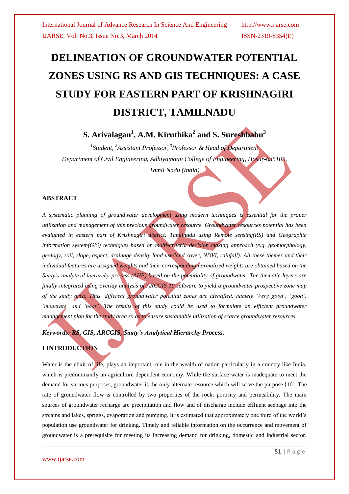# **DELINEATION OF GROUNDWATER POTENTIAL ZONES USING RS AND GIS TECHNIQUES: A CASE STUDY FOR EASTERN PART OF KRISHNAGIRI DISTRICT, TAMILNADU**

## **S. Arivalagan<sup>1</sup> , A.M. Kiruthika<sup>2</sup> and S. Sureshbabu<sup>3</sup>**

*1 Student, <sup>2</sup>Assistant Professor, <sup>3</sup>Professor & Head of Department Department of Civil Engineering, Adhiyamaan College of Engineering, Hosur-635109, Tamil Nadu (India)*

#### **ABSTRACT**

*A systematic planning of groundwater development using modern techniques is essential for the proper utilization and management of this precious groundwater resource. Groundwater resources potential has been evaluated in eastern part of Krishnagiri district, Tamilnadu using Remote sensing(RS) and Geographic information system(GIS) techniques based on multi-criteria decision making approach (e.g. geomorphology, geology, soil, slope, aspect, drainage density land use/land cover, NDVI, rainfall). All these themes and their individual features are assigned weights and their corresponding normalized weights are obtained based on the Saaty's analytical hierarchy process (AHP) based on the potentiality of groundwater. The thematic layers are finally integrated using overlay analysis of ARCGIS-10 software to yield a groundwater prospective zone map of the study area. Thus, different groundwater potential zones are identified, namely 'Very good', 'good',*  'moderate' and 'poor'. The results of this study could be used to formulate an efficient groundwater *management plan for the study area so as to ensure sustainable utilization of scarce groundwater resources.*

*Keywords: RS, GIS, ARCGIS, Saaty's Analytical Hierarchy Process.*

### **I INTRODUCTION**

Water is the elixir of life, plays an important role in the wealth of nation particularly in a country like India, which is predominantly an agriculture dependent economy. While the surface water is inadequate to meet the demand for various purposes, groundwater is the only alternate resource which will serve the purpose [10]. The rate of groundwater flow is controlled by two properties of the rock: porosity and permeability. The main sources of groundwater recharge are precipitation and flow and of discharge include effluent seepage into the streams and lakes, springs, evaporation and pumping. It is estimated that approximately one third of the world"s population use groundwater for drinking. Timely and reliable information on the occurrence and movement of groundwater is a prerequisite for meeting its increasing demand for drinking, domestic and industrial sector.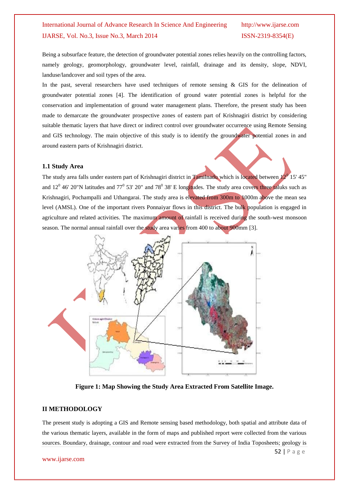Being a subsurface feature, the detection of groundwater potential zones relies heavily on the controlling factors, namely geology, geomorphology, groundwater level, rainfall, drainage and its density, slope, NDVI, landuse/landcover and soil types of the area.

In the past, several researchers have used techniques of remote sensing  $\&$  GIS for the delineation of groundwater potential zones [4]. The identification of ground water potential zones is helpful for the conservation and implementation of ground water management plans. Therefore, the present study has been made to demarcate the groundwater prospective zones of eastern part of Krishnagiri district by considering suitable thematic layers that have direct or indirect control over groundwater occurrence using Remote Sensing and GIS technology. The main objective of this study is to identify the groundwater potential zones in and around eastern parts of Krishnagiri district.

#### **1.1 Study Area**

The study area falls under eastern part of Krishnagiri district in Tamilnadu which is located between  $12^{0}$  15' 45" and  $12^0$  46' 20"N latitudes and  $77^0$  53' 20" and 78<sup>0</sup> 38' E longitudes. The study area covers three taluks such as Krishnagiri, Pochampalli and Uthangarai. The study area is elevated from 300m to 1000m above the mean sea level (AMSL). One of the important rivers Ponnaiyar flows in this district. The bulk population is engaged in agriculture and related activities. The maximum amount of rainfall is received during the south-west monsoon season. The normal annual rainfall over the study area varies from 400 to about 900mm [3].



**Figure 1: Map Showing the Study Area Extracted From Satellite Image.**

#### **II METHODOLOGY**

The present study is adopting a GIS and Remote sensing based methodology, both spatial and attribute data of the various thematic layers, available in the form of maps and published report were collected from the various sources. Boundary, drainage, contour and road were extracted from the Survey of India Toposheets; geology is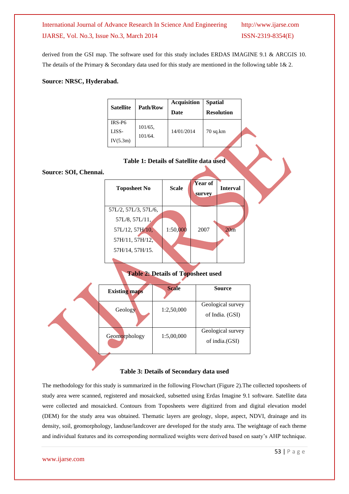derived from the GSI map. The software used for this study includes ERDAS IMAGINE 9.1 & ARCGIS 10. The details of the Primary  $&$  Secondary data used for this study are mentioned in the following table 1 $&$  2.

#### **Source: NRSC, Hyderabad.**

| <b>Satellite</b>   | <b>Path/Row</b>    | <b>Acquisition</b><br>Date | <b>Spatial</b><br><b>Resolution</b> |  |  |
|--------------------|--------------------|----------------------------|-------------------------------------|--|--|
| IRS-P <sub>6</sub> | 101/65,<br>101/64. |                            | $70$ sq.km                          |  |  |
| LISS-              |                    | 14/01/2014                 |                                     |  |  |
| IV(5.3m)           |                    |                            |                                     |  |  |



#### **Source: SOI, Chennai.**



**Table 2: Details of Toposheet used**

|  | <b>Existing maps</b> | <b>Scale</b> | <b>Source</b>                        |  |  |  |
|--|----------------------|--------------|--------------------------------------|--|--|--|
|  | Geology              | 1:2,50,000   | Geological survey<br>of India. (GSI) |  |  |  |
|  | Geomorphology        | 1:5,00,000   | Geological survey<br>of india.(GSI)  |  |  |  |
|  |                      |              |                                      |  |  |  |

#### **Table 3: Details of Secondary data used**

The methodology for this study is summarized in the following Flowchart (Figure 2).The collected toposheets of study area were scanned, registered and mosaicked, subsetted using Erdas Imagine 9.1 software. Satellite data were collected and mosaicked. Contours from Toposheets were digitized from and digital elevation model (DEM) for the study area was obtained. Thematic layers are geology, slope, aspect, NDVI, drainage and its density, soil, geomorphology, landuse/landcover are developed for the study area. The weightage of each theme and individual features and its corresponding normalized weights were derived based on saaty"s AHP technique.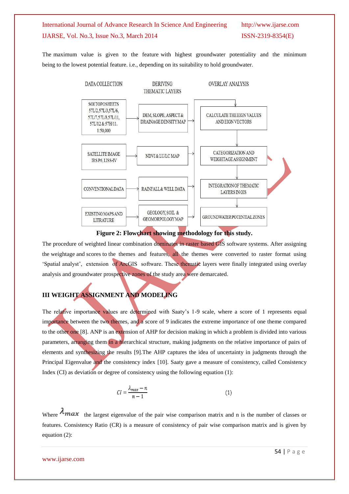The maximum value is given to the feature with highest groundwater potentiality and the minimum being to the lowest potential feature. i.e., depending on its suitability to hold groundwater.



**Figure 2: Flowchart showing methodology for this study.**

The procedure of weighted linear combination dominates in raster based GIS software systems. After assigning the weightage and scores to the themes and features, all the themes were converted to raster format using "Spatial analyst", extension of ArcGIS software. These thematic layers were finally integrated using overlay analysis and groundwater prospective zones of the study area were demarcated.

## **III WEIGHT ASSIGNMENT AND MODELING**

The relative importance values are determined with Saaty"s 1-9 scale, where a score of 1 represents equal importance between the two themes, and a score of 9 indicates the extreme importance of one theme compared to the other one [8]. ANP is an extension of AHP for decision making in which a problem is divided into various parameters, arranging them in a hierarchical structure, making judgments on the relative importance of pairs of elements and synthesizing the results [9].The AHP captures the idea of uncertainty in judgments through the Principal Eigenvalue and the consistency index [10]. Saaty gave a measure of consistency, called Consistency Index (CI) as deviation or degree of consistency using the following equation (1):

$$
CI = \frac{\lambda_{max} - n}{n - 1} \tag{1}
$$

Where  $\lambda_{max}$  the largest eigenvalue of the pair wise comparison matrix and n is the number of classes or features. Consistency Ratio (CR) is a measure of consistency of pair wise comparison matrix and is given by equation (2):

www.ijarse.com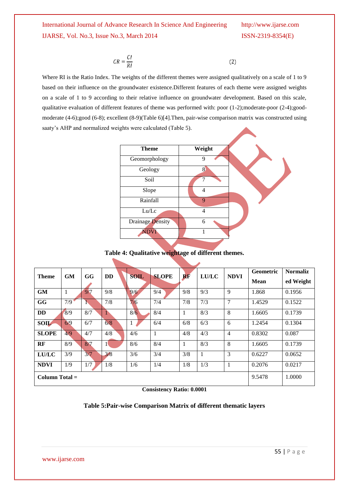$$
CR = \frac{CI}{RI}
$$

Where RI is the Ratio Index. The weights of the different themes were assigned qualitatively on a scale of 1 to 9 based on their influence on the groundwater existence.Different features of each theme were assigned weights on a scale of 1 to 9 according to their relative influence on groundwater development. Based on this scale, qualitative evaluation of different features of theme was performed with: poor (1-2);moderate-poor (2-4);goodmoderate (4-6);good (6-8); excellent (8-9)(Table 6)[4].Then, pair-wise comparison matrix was constructed using saaty's AHP and normalized weights were calculated (Table 5).



 $(2)$ 

#### **Table 4: Qualitative weightage of different themes.**

| <b>Theme</b>     | <b>GM</b> | GG  | <b>DD</b>    | <b>SOIL</b> | <b>SLOPE</b> | $\bf{RF}$ | <b>LU/LC</b> | <b>NDVI</b>    | <b>Geometric</b><br><b>Mean</b> | <b>Normaliz</b><br>ed Weight |
|------------------|-----------|-----|--------------|-------------|--------------|-----------|--------------|----------------|---------------------------------|------------------------------|
| <b>GM</b>        | 1         | 9/7 | 9/8          | 9/6         | 9/4          | 9/8       | 9/3          | 9              | 1.868                           | 0.1956                       |
| <b>GG</b>        | 7/9       |     | 7/8          | 7/6         | 7/4          | 7/8       | 7/3          | $\overline{7}$ | 1.4529                          | 0.1522                       |
| <b>DD</b>        | 8/9       | 8/7 | 1            | 8/6         | 8/4          | 1         | 8/3          | 8              | 1.6605                          | 0.1739                       |
| <b>SOIL</b>      | 6/9       | 6/7 | 6/8          | 1           | 6/4          | 6/8       | 6/3          | 6              | 1.2454                          | 0.1304                       |
| <b>SLOPE</b>     | 4/9       | 4/7 | 4/8          | 4/6         | 1            | 4/8       | 4/3          | $\overline{4}$ | 0.8302                          | 0.087                        |
| RF               | 8/9       | 8/7 | $\mathbf{1}$ | 8/6         | 8/4          | 1         | 8/3          | 8              | 1.6605                          | 0.1739                       |
| <b>LU/LC</b>     | 3/9       | 3/7 | 3/8          | 3/6         | 3/4          | 3/8       | $\mathbf{1}$ | 3              | 0.6227                          | 0.0652                       |
| <b>NDVI</b>      | 1/9       | 1/7 | 1/8          | 1/6         | 1/4          | 1/8       | 1/3          | $\overline{1}$ | 0.2076                          | 0.0217                       |
| $Column Total =$ |           |     |              |             | 9.5478       | 1.0000    |              |                |                                 |                              |

#### **Consistency Ratio: 0.0001**

#### **Table 5:Pair-wise Comparison Matrix of different thematic layers**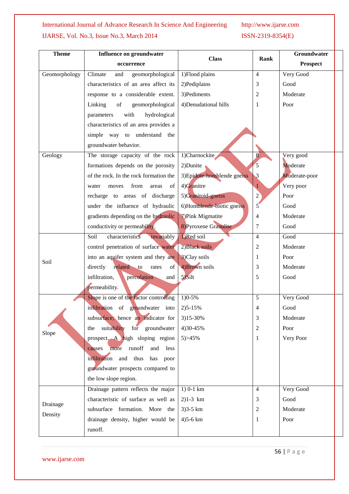| <b>Theme</b>  | Influence on groundwater               | <b>Class</b>                | Rank           | <b>Groundwater</b> |
|---------------|----------------------------------------|-----------------------------|----------------|--------------------|
|               | occurrence                             |                             |                | <b>Prospect</b>    |
| Geomorphology | Climate<br>geomorphological<br>and     | 1) Flood plains             | $\overline{4}$ | Very Good          |
|               | characteristics of an area affect its  | 2) Pediplains               | 3              | Good               |
|               | response to a considerable extent.     | 3) Pediments                | $\overline{c}$ | Moderate           |
|               | Linking<br>of<br>geomorphological      | 4) Denudational hills       | 1              | Poor               |
|               | with<br>hydrological<br>parameters     |                             |                |                    |
|               | characteristics of an area provides a  |                             |                |                    |
|               | simple way to understand the           |                             |                |                    |
|               | groundwater behavior.                  |                             |                |                    |
| Geology       | The storage capacity of the rock       | 1)Charnockite               | 8              | Very good          |
|               | formations depends on the porosity     | 2) Dunite                   | 5              | Moderate           |
|               | of the rock. In the rock formation the | 3) Epidote-homblende gneiss | $\mathbf{3}$   | Moderate-poor      |
|               | from<br>areas<br>of<br>water<br>moves  | 4)Granitre                  | $\mathbf{1}$   | Very poor          |
|               | recharge to areas of discharge         | 5)Granitoid-gneiss          | $\overline{c}$ | Poor               |
|               | under the influence of hydraulic       | 6)Homblende-biotic gneiss   | 5              | Good               |
|               | gradients depending on the hydraulic   | 7) Pink Migmatite           | 4              | Moderate           |
|               | conductivity or permeability.          | 8) Pyroxene Granulite       | 7              | Good               |
|               | characteristics invariably<br>Soil     | 1)Red soil                  | $\overline{4}$ | Good               |
|               | control penetration of surface water   | 2) Black soils              | $\overline{c}$ | Moderate           |
| Soil          | into an aquifer system and they are    | 3)Clay soils                | 1              | Poor               |
|               | related to<br>directly<br>of<br>rates  | 4) Brown soils              | 3              | Moderate           |
|               | infiltration,<br>percolation<br>and    | $5)$ Silt                   | 5              | Good               |
|               | permeability.                          |                             |                |                    |
|               | Slope is one of the factor controlling | $1)0 - 5%$                  | 5              | Very Good          |
|               | infiltration of groundwater into       | $2)5 - 15%$                 | 4              | Good               |
|               | subsurface; hence an indicator for     | 3)15-30%                    | 3              | Moderate           |
|               | suitability for groundwater<br>the     | 4) 30-45%                   | $\overline{c}$ | Poor               |
| Slope         | prospect. A high sloping region        | 5) > 45%                    | 1              | Very Poor          |
|               | causes more runoff<br>less<br>and      |                             |                |                    |
|               | infiltration and thus<br>has<br>poor   |                             |                |                    |
|               | groundwater prospects compared to      |                             |                |                    |
|               | the low slope region.                  |                             |                |                    |
|               | Drainage pattern reflects the major    | $1)$ 0-1 km                 | $\overline{4}$ | Very Good          |
|               | characteristic of surface as well as   | $2)1-3 km$                  | 3              | Good               |
| Drainage      | subsurface formation. More the         | $3)3 - 5 km$                | 2              | Moderate           |
| Density       | drainage density, higher would be      | $4)5 - 6 km$                | 1              | Poor               |
|               | runoff.                                |                             |                |                    |
|               |                                        |                             |                |                    |

56 | P a g e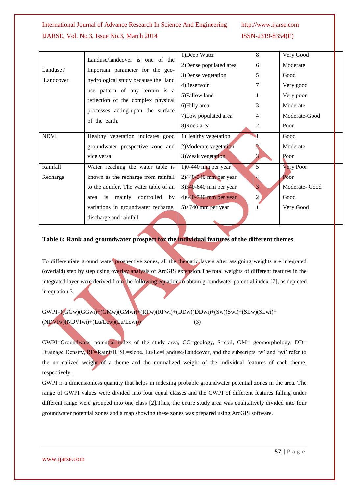| Landuse /   | Landuse/landcover is one of the<br>important parameter for the geo- | 1)Deep Water            | 8                    | Very Good     |  |
|-------------|---------------------------------------------------------------------|-------------------------|----------------------|---------------|--|
|             |                                                                     | 2) Dense populated area | 6                    | Moderate      |  |
|             |                                                                     | 3) Dense vegetation     | 5                    | Good          |  |
| Landcover   | hydrological study because the land                                 | 4)Reservoir             | 7                    | Very good     |  |
|             | use pattern of any terrain is a                                     | 5) Fallow land          |                      | Very poor     |  |
|             | reflection of the complex physical                                  | 6)Hilly area            | 3                    | Moderate      |  |
|             | processes acting upon the surface<br>of the earth.                  | 7) Low populated area   | 4                    | Moderate-Good |  |
|             |                                                                     | 8)Rock area             | $\overline{2}$       | Poor          |  |
| <b>NDVI</b> | Healthy vegetation indicates good                                   | 1) Healthy vegetation   | •1                   | Good          |  |
|             | groundwater prospective zone and                                    | 2) Moderate vegetation  |                      | Moderate      |  |
|             | vice versa.                                                         | 3) Weak vegetation      | 3                    | Poor          |  |
| Rainfall    | Water reaching the water table is                                   | $1)0-440$ mm per year   | 5                    | Very Poor     |  |
| Recharge    | known as the recharge from rainfall                                 | $2)440-540$ mm per year | $\blacktriangleleft$ | Poor          |  |
|             | to the aquifer. The water table of an                               | $3)540-640$ mm per year | 3                    | Moderate-Good |  |
|             | area is mainly controlled<br>by                                     | 4)640-740 mm per year   | $\overline{2}$       | Good          |  |
|             | variations in groundwater recharge,                                 | $5$ > 740 mm per year   |                      | Very Good     |  |
|             | discharge and rainfall.                                             |                         |                      |               |  |

#### **Table 6: Rank and groundwater prospect for the individual features of the different themes**

To differentiate ground water prospective zones, all the thematic layers after assigning weights are integrated (overlaid) step by step using overlay analysis of ArcGIS extension.The total weights of different features in the integrated layer were derived from the following equation to obtain groundwater potential index [7], as depicted in equation 3.

 $GWPI=((GGw)(GGwi)+(GMw)(GMwi)+(REw)(RFwi)+(DDw)(DDwi)+(Sw)(Swi)+(SLw)(SLwi)+$  $(NDVIw)(NDVIwi)+(Lu/Lcw)(Lu/Lcwi)$  (3)

GWPI=Groundwater potential index of the study area, GG=geology, S=soil, GM= geomorphology, DD= Drainage Density, RF=Rainfall, SL=slope, Lu/Lc=Landuse/Landcover, and the subscripts 'w' and 'wi' refer to the normalized weight of a theme and the normalized weight of the individual features of each theme, respectively.

GWPI is a dimensionless quantity that helps in indexing probable groundwater potential zones in the area. The range of GWPI values were divided into four equal classes and the GWPI of different features falling under different range were grouped into one class [2].Thus, the entire study area was qualitatively divided into four groundwater potential zones and a map showing these zones was prepared using ArcGIS software.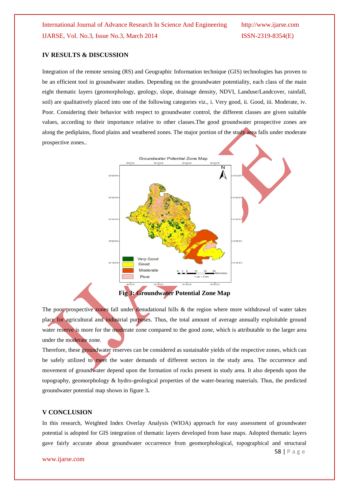### **IV RESULTS & DISCUSSION**

Integration of the remote sensing (RS) and Geographic Information technique (GIS) technologies has proven to be an efficient tool in groundwater studies. Depending on the groundwater potentiality, each class of the main eight thematic layers (geomorphology, geology, slope, drainage density, NDVI, Landuse/Landcover, rainfall, soil) are qualitatively placed into one of the following categories viz., i. Very good, ii. Good, iii. Moderate, iv. Poor. Considering their behavior with respect to groundwater control, the different classes are given suitable values, according to their importance relative to other classes.The good groundwater prospective zones are along the pediplains, flood plains and weathered zones. The major portion of the study area falls under moderate prospective zones..



The poor prospective zones fall under denudational hills & the region where more withdrawal of water takes place for agricultural and industrial purposes. Thus, the total amount of average annually exploitable ground water reserve is more for the moderate zone compared to the good zone, which is attributable to the larger area under the moderate zone.

Therefore, these groundwater reserves can be considered as sustainable yields of the respective zones, which can be safely utilized to meet the water demands of different sectors in the study area. The occurrence and movement of groundwater depend upon the formation of rocks present in study area. It also depends upon the topography, geomorphology & hydro-geological properties of the water-bearing materials. Thus, the predicted groundwater potential map shown in figure 3**.**

#### **V CONCLUSION**

In this research, Weighted Index Overlay Analysis (WIOA) approach for easy assessment of groundwater potential is adopted for GIS integration of thematic layers developed from base maps. Adopted thematic layers gave fairly accurate about groundwater occurrence from geomorphological, topographical and structural

www.ijarse.com